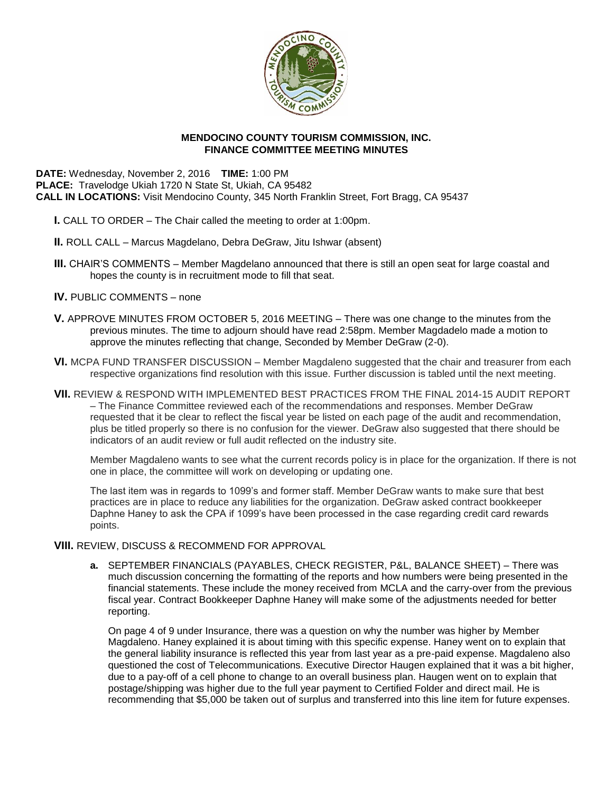

# **MENDOCINO COUNTY TOURISM COMMISSION, INC. FINANCE COMMITTEE MEETING MINUTES**

**DATE:** Wednesday, November 2, 2016 **TIME:** 1:00 PM **PLACE:** Travelodge Ukiah 1720 N State St, Ukiah, CA 95482 **CALL IN LOCATIONS:** Visit Mendocino County, 345 North Franklin Street, Fort Bragg, CA 95437

- **I.** CALL TO ORDER The Chair called the meeting to order at 1:00pm.
- **II.** ROLL CALL Marcus Magdelano, Debra DeGraw, Jitu Ishwar (absent)
- **III.** CHAIR'S COMMENTS Member Magdelano announced that there is still an open seat for large coastal and hopes the county is in recruitment mode to fill that seat.
- **IV.** PUBLIC COMMENTS none
- **V.** APPROVE MINUTES FROM OCTOBER 5, 2016 MEETING There was one change to the minutes from the previous minutes. The time to adjourn should have read 2:58pm. Member Magdadelo made a motion to approve the minutes reflecting that change, Seconded by Member DeGraw (2-0).
- **VI.** MCPA FUND TRANSFER DISCUSSION Member Magdaleno suggested that the chair and treasurer from each respective organizations find resolution with this issue. Further discussion is tabled until the next meeting.
- **VII.** REVIEW & RESPOND WITH IMPLEMENTED BEST PRACTICES FROM THE FINAL 2014-15 AUDIT REPORT – The Finance Committee reviewed each of the recommendations and responses. Member DeGraw requested that it be clear to reflect the fiscal year be listed on each page of the audit and recommendation, plus be titled properly so there is no confusion for the viewer. DeGraw also suggested that there should be indicators of an audit review or full audit reflected on the industry site.

Member Magdaleno wants to see what the current records policy is in place for the organization. If there is not one in place, the committee will work on developing or updating one.

The last item was in regards to 1099's and former staff. Member DeGraw wants to make sure that best practices are in place to reduce any liabilities for the organization. DeGraw asked contract bookkeeper Daphne Haney to ask the CPA if 1099's have been processed in the case regarding credit card rewards points.

### **VIII.** REVIEW, DISCUSS & RECOMMEND FOR APPROVAL

**a.** SEPTEMBER FINANCIALS (PAYABLES, CHECK REGISTER, P&L, BALANCE SHEET) – There was much discussion concerning the formatting of the reports and how numbers were being presented in the financial statements. These include the money received from MCLA and the carry-over from the previous fiscal year. Contract Bookkeeper Daphne Haney will make some of the adjustments needed for better reporting.

On page 4 of 9 under Insurance, there was a question on why the number was higher by Member Magdaleno. Haney explained it is about timing with this specific expense. Haney went on to explain that the general liability insurance is reflected this year from last year as a pre-paid expense. Magdaleno also questioned the cost of Telecommunications. Executive Director Haugen explained that it was a bit higher, due to a pay-off of a cell phone to change to an overall business plan. Haugen went on to explain that postage/shipping was higher due to the full year payment to Certified Folder and direct mail. He is recommending that \$5,000 be taken out of surplus and transferred into this line item for future expenses.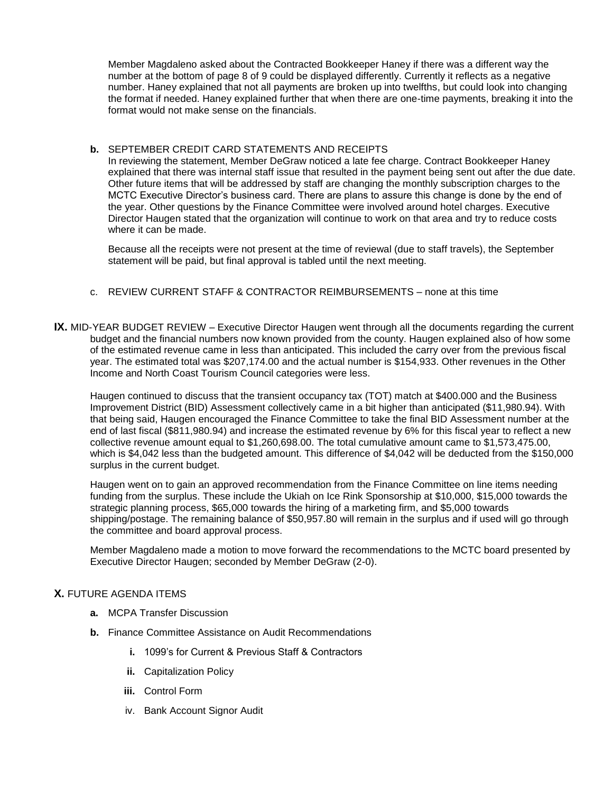Member Magdaleno asked about the Contracted Bookkeeper Haney if there was a different way the number at the bottom of page 8 of 9 could be displayed differently. Currently it reflects as a negative number. Haney explained that not all payments are broken up into twelfths, but could look into changing the format if needed. Haney explained further that when there are one-time payments, breaking it into the format would not make sense on the financials.

### **b.** SEPTEMBER CREDIT CARD STATEMENTS AND RECEIPTS

In reviewing the statement, Member DeGraw noticed a late fee charge. Contract Bookkeeper Haney explained that there was internal staff issue that resulted in the payment being sent out after the due date. Other future items that will be addressed by staff are changing the monthly subscription charges to the MCTC Executive Director's business card. There are plans to assure this change is done by the end of the year. Other questions by the Finance Committee were involved around hotel charges. Executive Director Haugen stated that the organization will continue to work on that area and try to reduce costs where it can be made.

Because all the receipts were not present at the time of reviewal (due to staff travels), the September statement will be paid, but final approval is tabled until the next meeting.

### c. REVIEW CURRENT STAFF & CONTRACTOR REIMBURSEMENTS – none at this time

**IX.** MID-YEAR BUDGET REVIEW – Executive Director Haugen went through all the documents regarding the current budget and the financial numbers now known provided from the county. Haugen explained also of how some of the estimated revenue came in less than anticipated. This included the carry over from the previous fiscal year. The estimated total was \$207,174.00 and the actual number is \$154,933. Other revenues in the Other Income and North Coast Tourism Council categories were less.

Haugen continued to discuss that the transient occupancy tax (TOT) match at \$400.000 and the Business Improvement District (BID) Assessment collectively came in a bit higher than anticipated (\$11,980.94). With that being said, Haugen encouraged the Finance Committee to take the final BID Assessment number at the end of last fiscal (\$811,980.94) and increase the estimated revenue by 6% for this fiscal year to reflect a new collective revenue amount equal to \$1,260,698.00. The total cumulative amount came to \$1,573,475.00, which is \$4,042 less than the budgeted amount. This difference of \$4,042 will be deducted from the \$150,000 surplus in the current budget.

Haugen went on to gain an approved recommendation from the Finance Committee on line items needing funding from the surplus. These include the Ukiah on Ice Rink Sponsorship at \$10,000, \$15,000 towards the strategic planning process, \$65,000 towards the hiring of a marketing firm, and \$5,000 towards shipping/postage. The remaining balance of \$50,957.80 will remain in the surplus and if used will go through the committee and board approval process.

Member Magdaleno made a motion to move forward the recommendations to the MCTC board presented by Executive Director Haugen; seconded by Member DeGraw (2-0).

# **X.** FUTURE AGENDA ITEMS

- **a.** MCPA Transfer Discussion
- **b.** Finance Committee Assistance on Audit Recommendations
	- **i.** 1099's for Current & Previous Staff & Contractors
	- **ii.** Capitalization Policy
	- **iii.** Control Form
	- iv. Bank Account Signor Audit